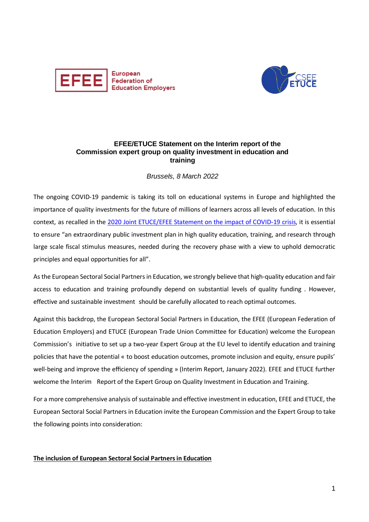



## **EFEE/ETUCE Statement on the Interim report of the Commission expert group on quality investment in education and training**

## *Brussels, 8 March 2022*

The ongoing COVID-19 pandemic is taking its toll on educational systems in Europe and highlighted the importance of quality investments for the future of millions of learners across all levels of education. In this context, as recalled in the [2020 Joint ETUCE/EFEE Statement on the impact of COVID-19 crisis,](https://educationemployers.eu/wp-content/uploads/2020/08/Joint_ETUCE-EFEE_Statement_on_Covid-19_260620.pdf) it is essential to ensure "an extraordinary public investment plan in high quality education, training, and research through large scale fiscal stimulus measures, needed during the recovery phase with a view to uphold democratic principles and equal opportunities for all".

As the European Sectoral Social Partners in Education, we strongly believe that high-quality education and fair access to education and training profoundly depend on substantial levels of quality funding . However, effective and sustainable investment should be carefully allocated to reach optimal outcomes.

Against this backdrop, the European Sectoral Social Partners in Education, the EFEE (European Federation of Education Employers) and ETUCE (European Trade Union Committee for Education) welcome the European Commission's initiative to set up a two-year Expert Group at the EU level to identify education and training policies that have the potential « to boost education outcomes, promote inclusion and equity, ensure pupils' well-being and improve the efficiency of spending » (Interim Report, January 2022). EFEE and ETUCE further welcome the Interim Report of the Expert Group on Quality Investment in Education and Training.

For a more comprehensive analysis of sustainable and effective investment in education, EFEE and ETUCE, the European Sectoral Social Partners in Education invite the European Commission and the Expert Group to take the following points into consideration:

## **The inclusion of European Sectoral Social Partners in Education**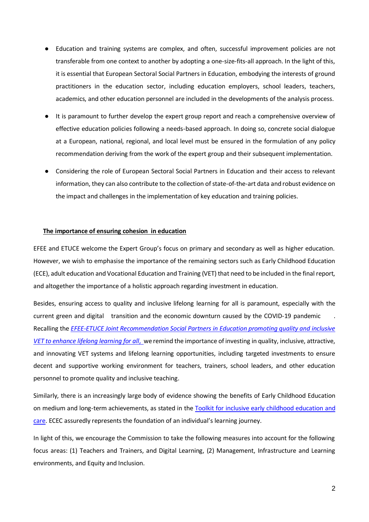- Education and training systems are complex, and often, successful improvement policies are not transferable from one context to another by adopting a one-size-fits-all approach. In the light of this, it is essential that European Sectoral Social Partners in Education, embodying the interests of ground practitioners in the education sector, including education employers, school leaders, teachers, academics, and other education personnel are included in the developments of the analysis process.
- It is paramount to further develop the expert group report and reach a comprehensive overview of effective education policies following a needs-based approach. In doing so, concrete social dialogue at a European, national, regional, and local level must be ensured in the formulation of any policy recommendation deriving from the work of the expert group and their subsequent implementation.
- Considering the role of European Sectoral Social Partners in Education and their access to relevant information, they can also contribute to the collection of state-of-the-art data and robust evidence on the impact and challenges in the implementation of key education and training policies.

## **The importance of ensuring cohesion in education**

EFEE and ETUCE welcome the Expert Group's focus on primary and secondary as well as higher education. However, we wish to emphasise the importance of the remaining sectors such as Early Childhood Education (ECE), adult education and Vocational Education and Training (VET) that need to be included in the final report, and altogether the importance of a holistic approach regarding investment in education.

Besides, ensuring access to quality and inclusive lifelong learning for all is paramount, especially with the current green and digital transition and the economic downturn caused by the COVID-19 pandemic Recalling the *[EFEE-ETUCE Joint Recommendation Social Partners in Education promoting quality and inclusive](https://www.csee-etuce.org/images/Recommendations/2021_Joint_ETUCE-EFEE_Recommendations_on_VET_and_LLL.pdf)  [VET to enhance lifelong learning for all](https://www.csee-etuce.org/images/Recommendations/2021_Joint_ETUCE-EFEE_Recommendations_on_VET_and_LLL.pdf)*[, w](https://www.csee-etuce.org/images/Recommendations/2021_Joint_ETUCE-EFEE_Recommendations_on_VET_and_LLL.pdf)e remind the importance of investing in quality, inclusive, attractive, and innovating VET systems and lifelong learning opportunities, including targeted investments to ensure decent and supportive working environment for teachers, trainers, school leaders, and other education personnel to promote quality and inclusive teaching.

Similarly, there is an increasingly large body of evidence showing the benefits of Early Childhood Education on medium and long-term achievements, as stated in th[e Toolkit for inclusive early childhood education and](https://op.europa.eu/en/publication-detail/-/publication/4c526047-6f3c-11eb-aeb5-01aa75ed71a1/language-en)  [care.](https://op.europa.eu/en/publication-detail/-/publication/4c526047-6f3c-11eb-aeb5-01aa75ed71a1/language-en) ECEC assuredly represents the foundation of an individual's learning journey.

In light of this, we encourage the Commission to take the following measures into account for the following focus areas: (1) Teachers and Trainers, and Digital Learning, (2) Management, Infrastructure and Learning environments, and Equity and Inclusion.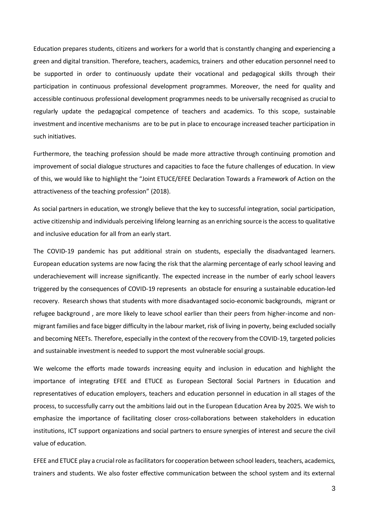Education prepares students, citizens and workers for a world that is constantly changing and experiencing a green and digital transition. Therefore, teachers, academics, trainers and other education personnel need to be supported in order to continuously update their vocational and pedagogical skills through their participation in continuous professional development programmes. Moreover, the need for quality and accessible continuous professional development programmes needs to be universally recognised as crucial to regularly update the pedagogical competence of teachers and academics. To this scope, sustainable investment and incentive mechanisms are to be put in place to encourage increased teacher participation in such initiatives.

Furthermore, the teaching profession should be made more attractive through continuing promotion and improvement of social dialogue structures and capacities to face the future challenges of education. In view of this, we would like to highlight the "Joint ETUCE/EFEE Declaration Towards a Framework of Action on the attractiveness of the teaching profession" (2018).

As social partners in education, we strongly believe that the key to successful integration, social participation, active citizenship and individuals perceiving lifelong learning as an enriching source is the access to qualitative and inclusive education for all from an early start.

The COVID-19 pandemic has put additional strain on students, especially the disadvantaged learners. European education systems are now facing the risk that the alarming percentage of early school leaving and underachievement will increase significantly. The expected increase in the number of early school leavers triggered by the consequences of COVID-19 represents an obstacle for ensuring a sustainable education-led recovery. Research shows that students with more disadvantaged socio-economic backgrounds, migrant or refugee background , are more likely to leave school earlier than their peers from higher-income and nonmigrant families and face bigger difficulty in the labour market, risk of living in poverty, being excluded socially and becoming NEETs. Therefore, especially in the context of the recovery from the COVID-19, targeted policies and sustainable investment is needed to support the most vulnerable social groups.

We welcome the efforts made towards increasing equity and inclusion in education and highlight the importance of integrating EFEE and ETUCE as European Sectoral Social Partners in Education and representatives of education employers, teachers and education personnel in education in all stages of the process, to successfully carry out the ambitions laid out in the European Education Area by 2025. We wish to emphasize the importance of facilitating closer cross-collaborations between stakeholders in education institutions, ICT support organizations and social partners to ensure synergies of interest and secure the civil value of education.

EFEE and ETUCE play a crucial role as facilitators for cooperation between school leaders, teachers, academics, trainers and students. We also foster effective communication between the school system and its external